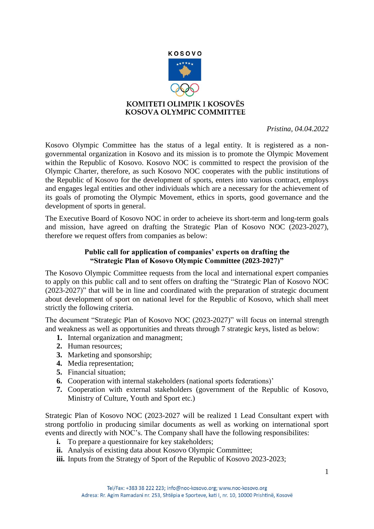

 *Pristina, 04.04.2022* 

Kosovo Olympic Committee has the status of a legal entity. It is registered as a nongovernmental organization in Kosovo and its mission is to promote the Olympic Movement within the Republic of Kosovo. Kosovo NOC is committed to respect the provision of the Olympic Charter, therefore, as such Kosovo NOC cooperates with the public institutions of the Republic of Kosovo for the development of sports, enters into various contract, employs and engages legal entities and other individuals which are a necessary for the achievement of its goals of promoting the Olympic Movement, ethics in sports, good governance and the development of sports in general.

The Executive Board of Kosovo NOC in order to acheieve its short-term and long-term goals and mission, have agreed on drafting the Strategic Plan of Kosovo NOC (2023-2027), therefore we request offers from companies as below:

## **Public call for application of companies' experts on drafting the "Strategic Plan of Kosovo Olympic Committee (2023-2027)"**

The Kosovo Olympic Committee requests from the local and international expert companies to apply on this public call and to sent offers on drafting the "Strategic Plan of Kosovo NOC (2023-2027)" that will be in line and coordinated with the preparation of strategic document about development of sport on national level for the Republic of Kosovo, which shall meet strictly the following criteria.

The document "Strategic Plan of Kosovo NOC (2023-2027)" will focus on internal strength and weakness as well as opportunities and threats through 7 strategic keys, listed as below:

- **1.** Internal organization and managment;
- **2.** Human resources;
- **3.** Marketing and sponsorship;
- **4.** Media representation;
- **5.** Financial situation;
- **6.** Cooperation with internal stakeholders (national sports federations)'
- **7.** Cooperation with external stakeholders (government of the Republic of Kosovo, Ministry of Culture, Youth and Sport etc.)

Strategic Plan of Kosovo NOC (2023-2027 will be realized 1 Lead Consultant expert with strong portfolio in producing similar documents as well as working on international sport events and directly with NOC's. The Company shall have the following responsibilites:

- **i.** To prepare a questionnaire for key stakeholders;
- **ii.** Analysis of existing data about Kosovo Olympic Committee;
- **iii.** Inputs from the Strategy of Sport of the Republic of Kosovo 2023-2023;